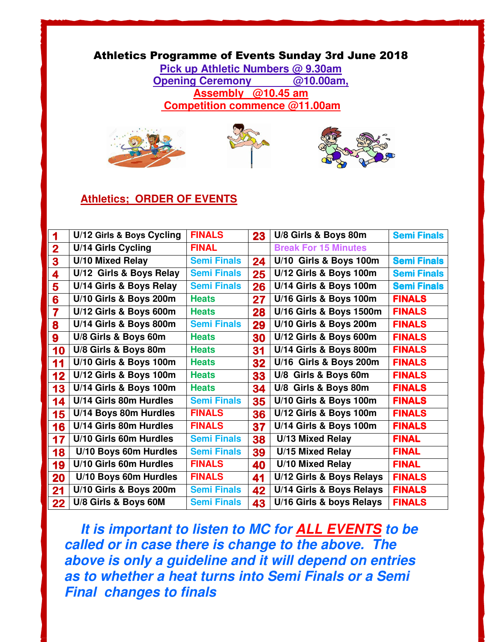## Athletics Programme of Events Sunday 3rd June 2018

**Pick up Athletic Numbers @ 9.30am Opening Ceremony @10.00am, Assembly @10.45 am Competition commence @11.00am** 







## **Athletics; ORDER OF EVENTS**

|                         | U/12 Girls & Boys Cycling | <b>FINALS</b>      | 23 | U/8 Girls & Boys 80m        | <b>Semi Finals</b> |
|-------------------------|---------------------------|--------------------|----|-----------------------------|--------------------|
| $\overline{\mathbf{2}}$ | U/14 Girls Cycling        | <b>FINAL</b>       |    | <b>Break For 15 Minutes</b> |                    |
| 3                       | <b>U/10 Mixed Relay</b>   | <b>Semi Finals</b> | 24 | U/10 Girls & Boys 100m      | <b>Semi Finals</b> |
| 4                       | U/12 Girls & Boys Relay   | <b>Semi Finals</b> | 25 | U/12 Girls & Boys 100m      | <b>Semi Finals</b> |
| 5                       | U/14 Girls & Boys Relay   | <b>Semi Finals</b> | 26 | U/14 Girls & Boys 100m      | <b>Semi Finals</b> |
| 6                       | U/10 Girls & Boys 200m    | <b>Heats</b>       | 27 | U/16 Girls & Boys 100m      | <b>FINALS</b>      |
| 7                       | U/12 Girls & Boys 600m    | <b>Heats</b>       | 28 | U/16 Girls & Boys 1500m     | <b>FINALS</b>      |
| 8                       | U/14 Girls & Boys 800m    | <b>Semi Finals</b> | 29 | U/10 Girls & Boys 200m      | <b>FINALS</b>      |
| 9                       | U/8 Girls & Boys 60m      | <b>Heats</b>       | 30 | U/12 Girls & Boys 600m      | <b>FINALS</b>      |
| 10                      | U/8 Girls & Boys 80m      | <b>Heats</b>       | 31 | U/14 Girls & Boys 800m      | <b>FINALS</b>      |
| 11                      | U/10 Girls & Boys 100m    | <b>Heats</b>       | 32 | U/16 Girls & Boys 200m      | <b>FINALS</b>      |
| 12                      | U/12 Girls & Boys 100m    | <b>Heats</b>       | 33 | U/8 Girls & Boys 60m        | <b>FINALS</b>      |
| 13                      | U/14 Girls & Boys 100m    | <b>Heats</b>       | 34 | U/8 Girls & Boys 80m        | <b>FINALS</b>      |
| 14                      | U/14 Girls 80m Hurdles    | <b>Semi Finals</b> | 35 | U/10 Girls & Boys 100m      | <b>FINALS</b>      |
| 15                      | U/14 Boys 80m Hurdles     | <b>FINALS</b>      | 36 | U/12 Girls & Boys 100m      | <b>FINALS</b>      |
| 16                      | U/14 Girls 80m Hurdles    | <b>FINALS</b>      | 37 | U/14 Girls & Boys 100m      | <b>FINALS</b>      |
| 17                      | U/10 Girls 60m Hurdles    | <b>Semi Finals</b> | 38 | <b>U/13 Mixed Relay</b>     | <b>FINAL</b>       |
| 18                      | U/10 Boys 60m Hurdles     | <b>Semi Finals</b> | 39 | U/15 Mixed Relay            | <b>FINAL</b>       |
| 19                      | U/10 Girls 60m Hurdles    | <b>FINALS</b>      | 40 | U/10 Mixed Relay            | <b>FINAL</b>       |
| 20                      | U/10 Boys 60m Hurdles     | <b>FINALS</b>      | 41 | U/12 Girls & Boys Relays    | <b>FINALS</b>      |
| 21                      | U/10 Girls & Boys 200m    | <b>Semi Finals</b> | 42 | U/14 Girls & Boys Relays    | <b>FINALS</b>      |
| 22                      | U/8 Girls & Boys 60M      | <b>Semi Finals</b> | 43 | U/16 Girls & boys Relays    | <b>FINALS</b>      |

**It is important to listen to MC for ALL EVENTS to be called or in case there is change to the above. The above is only a guideline and it will depend on entries as to whether a heat turns into Semi Finals or a Semi Final changes to finals**